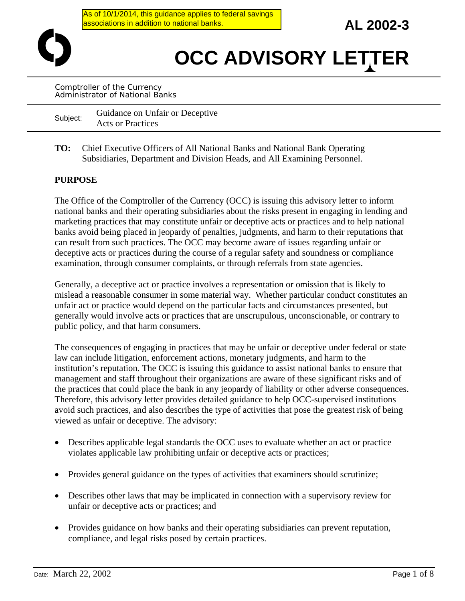As of 10/1/2014, this guidance applies to federal savings associations in addition to national banks.

**AL 2002-3** 

# **OCC ADVISORY LETTER**

Comptroller of the Currency Administrator of National Banks

Subject: Guidance on Unfair or Deceptive Acts or Practices

**TO:** Chief Executive Officers of All National Banks and National Bank Operating Subsidiaries, Department and Division Heads, and All Examining Personnel.

## **PURPOSE**

The Office of the Comptroller of the Currency (OCC) is issuing this advisory letter to inform national banks and their operating subsidiaries about the risks present in engaging in lending and marketing practices that may constitute unfair or deceptive acts or practices and to help national banks avoid being placed in jeopardy of penalties, judgments, and harm to their reputations that can result from such practices. The OCC may become aware of issues regarding unfair or deceptive acts or practices during the course of a regular safety and soundness or compliance examination, through consumer complaints, or through referrals from state agencies.

Generally, a deceptive act or practice involves a representation or omission that is likely to mislead a reasonable consumer in some material way. Whether particular conduct constitutes an unfair act or practice would depend on the particular facts and circumstances presented, but generally would involve acts or practices that are unscrupulous, unconscionable, or contrary to public policy, and that harm consumers.

The consequences of engaging in practices that may be unfair or deceptive under federal or state law can include litigation, enforcement actions, monetary judgments, and harm to the institution's reputation. The OCC is issuing this guidance to assist national banks to ensure that management and staff throughout their organizations are aware of these significant risks and of the practices that could place the bank in any jeopardy of liability or other adverse consequences. Therefore, this advisory letter provides detailed guidance to help OCC-supervised institutions avoid such practices, and also describes the type of activities that pose the greatest risk of being viewed as unfair or deceptive. The advisory:

- Describes applicable legal standards the OCC uses to evaluate whether an act or practice violates applicable law prohibiting unfair or deceptive acts or practices;
- Provides general guidance on the types of activities that examiners should scrutinize;
- Describes other laws that may be implicated in connection with a supervisory review for unfair or deceptive acts or practices; and
- Provides guidance on how banks and their operating subsidiaries can prevent reputation, compliance, and legal risks posed by certain practices.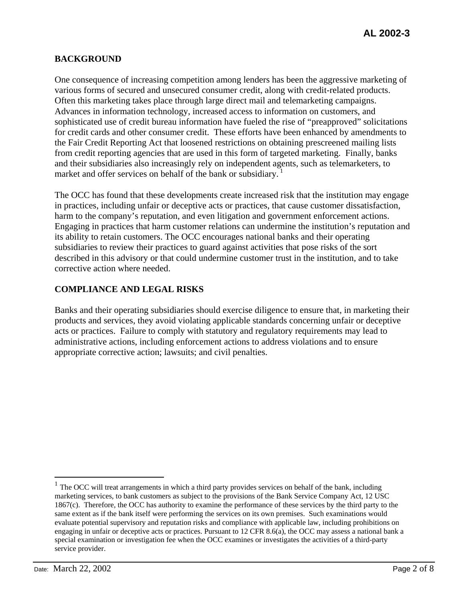# **BACKGROUND**

One consequence of increasing competition among lenders has been the aggressive marketing of various forms of secured and unsecured consumer credit, along with credit-related products. Often this marketing takes place through large direct mail and telemarketing campaigns. Advances in information technology, increased access to information on customers, and sophisticated use of credit bureau information have fueled the rise of "preapproved" solicitations for credit cards and other consumer credit. These efforts have been enhanced by amendments to the Fair Credit Reporting Act that loosened restrictions on obtaining prescreened mailing lists from credit reporting agencies that are used in this form of targeted marketing. Finally, banks and their subsidiaries also increasingly rely on independent agents, such as telemarketers, to market and offer services on behalf of the bank or subsidiary.<sup>1</sup>

The OCC has found that these developments create increased risk that the institution may engage in practices, including unfair or deceptive acts or practices, that cause customer dissatisfaction, harm to the company's reputation, and even litigation and government enforcement actions. Engaging in practices that harm customer relations can undermine the institution's reputation and its ability to retain customers. The OCC encourages national banks and their operating subsidiaries to review their practices to guard against activities that pose risks of the sort described in this advisory or that could undermine customer trust in the institution, and to take corrective action where needed.

# **COMPLIANCE AND LEGAL RISKS**

Banks and their operating subsidiaries should exercise diligence to ensure that, in marketing their products and services, they avoid violating applicable standards concerning unfair or deceptive acts or practices. Failure to comply with statutory and regulatory requirements may lead to administrative actions, including enforcement actions to address violations and to ensure appropriate corrective action; lawsuits; and civil penalties.

 $1$  The OCC will treat arrangements in which a third party provides services on behalf of the bank, including marketing services, to bank customers as subject to the provisions of the Bank Service Company Act, 12 USC 1867(c). Therefore, the OCC has authority to examine the performance of these services by the third party to the same extent as if the bank itself were performing the services on its own premises. Such examinations would evaluate potential supervisory and reputation risks and compliance with applicable law, including prohibitions on engaging in unfair or deceptive acts or practices. Pursuant to 12 CFR 8.6(a), the OCC may assess a national bank a special examination or investigation fee when the OCC examines or investigates the activities of a third-party service provider.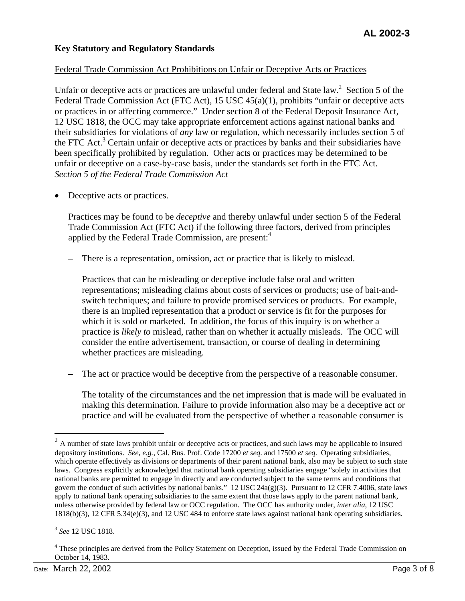## **Key Statutory and Regulatory Standards**

#### Federal Trade Commission Act Prohibitions on Unfair or Deceptive Acts or Practices

Unfair or deceptive acts or practices are unlawful under federal and State law.<sup>2</sup> Section 5 of the Federal Trade Commission Act (FTC Act), 15 USC 45(a)(1), prohibits "unfair or deceptive acts or practices in or affecting commerce." Under section 8 of the Federal Deposit Insurance Act, 12 USC 1818, the OCC may take appropriate enforcement actions against national banks and their subsidiaries for violations of *any* law or regulation, which necessarily includes section 5 of the FTC Act.<sup>3</sup> Certain unfair or deceptive acts or practices by banks and their subsidiaries have been specifically prohibited by regulation. Other acts or practices may be determined to be unfair or deceptive on a case-by-case basis, under the standards set forth in the FTC Act. *Section 5 of the Federal Trade Commission Act* 

Deceptive acts or practices.

Practices may be found to be *deceptive* and thereby unlawful under section 5 of the Federal Trade Commission Act (FTC Act) if the following three factors, derived from principles applied by the Federal Trade Commission, are present:<sup>4</sup>

**–** There is a representation, omission, act or practice that is likely to mislead.

Practices that can be misleading or deceptive include false oral and written representations; misleading claims about costs of services or products; use of bait-andswitch techniques; and failure to provide promised services or products. For example, there is an implied representation that a product or service is fit for the purposes for which it is sold or marketed. In addition, the focus of this inquiry is on whether a practice is *likely to* mislead, rather than on whether it actually misleads. The OCC will consider the entire advertisement, transaction, or course of dealing in determining whether practices are misleading.

The act or practice would be deceptive from the perspective of a reasonable consumer.

The totality of the circumstances and the net impression that is made will be evaluated in making this determination. Failure to provide information also may be a deceptive act or practice and will be evaluated from the perspective of whether a reasonable consumer is

<sup>3</sup>*See* 12 USC 1818.

 $2$  A number of state laws prohibit unfair or deceptive acts or practices, and such laws may be applicable to insured depository institutions. *See, e.g.,* Cal. Bus. Prof. Code 17200 *et seq*. and 17500 *et seq*. Operating subsidiaries, which operate effectively as divisions or departments of their parent national bank, also may be subject to such state laws. Congress explicitly acknowledged that national bank operating subsidiaries engage "solely in activities that national banks are permitted to engage in directly and are conducted subject to the same terms and conditions that govern the conduct of such activities by national banks."  $12 \text{ USC } 24a(g)(3)$ . Pursuant to  $12 \text{ CFR } 7.4006$ , state laws apply to national bank operating subsidiaries to the same extent that those laws apply to the parent national bank, unless otherwise provided by federal law or OCC regulation. The OCC has authority under, *inter alia*, 12 USC 1818(b)(3), 12 CFR 5.34(e)(3), and 12 USC 484 to enforce state laws against national bank operating subsidiaries.

<sup>&</sup>lt;sup>4</sup> These principles are derived from the Policy Statement on Deception, issued by the Federal Trade Commission on October 14, 1983.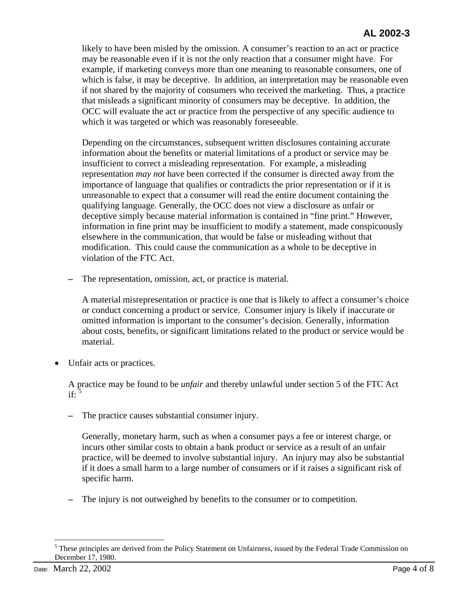likely to have been misled by the omission. A consumer's reaction to an act or practice may be reasonable even if it is not the only reaction that a consumer might have. For example, if marketing conveys more than one meaning to reasonable consumers, one of which is false, it may be deceptive. In addition, an interpretation may be reasonable even if not shared by the majority of consumers who received the marketing. Thus, a practice that misleads a significant minority of consumers may be deceptive. In addition, the OCC will evaluate the act or practice from the perspective of any specific audience to which it was targeted or which was reasonably foreseeable.

Depending on the circumstances, subsequent written disclosures containing accurate information about the benefits or material limitations of a product or service may be insufficient to correct a misleading representation. For example, a misleading representation *may not* have been corrected if the consumer is directed away from the importance of language that qualifies or contradicts the prior representation or if it is unreasonable to expect that a consumer will read the entire document containing the qualifying language. Generally, the OCC does not view a disclosure as unfair or deceptive simply because material information is contained in "fine print." However, information in fine print may be insufficient to modify a statement, made conspicuously elsewhere in the communication, that would be false or misleading without that modification. This could cause the communication as a whole to be deceptive in violation of the FTC Act.

The representation, omission, act, or practice is material.

A material misrepresentation or practice is one that is likely to affect a consumer's choice or conduct concerning a product or service. Consumer injury is likely if inaccurate or omitted information is important to the consumer's decision. Generally, information about costs, benefits, or significant limitations related to the product or service would be material.

Unfair acts or practices.

A practice may be found to be *unfair* and thereby unlawful under section 5 of the FTC Act if: $\frac{5}{3}$ 

The practice causes substantial consumer injury.

Generally, monetary harm, such as when a consumer pays a fee or interest charge, or incurs other similar costs to obtain a bank product or service as a result of an unfair practice, will be deemed to involve substantial injury. An injury may also be substantial if it does a small harm to a large number of consumers or if it raises a significant risk of specific harm.

**–** The injury is not outweighed by benefits to the consumer or to competition.

<sup>&</sup>lt;sup>5</sup> These principles are derived from the Policy Statement on Unfairness, issued by the Federal Trade Commission on December 17, 1980.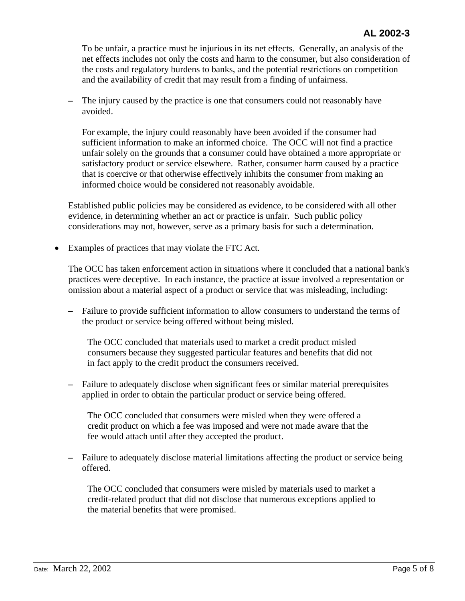To be unfair, a practice must be injurious in its net effects. Generally, an analysis of the net effects includes not only the costs and harm to the consumer, but also consideration of the costs and regulatory burdens to banks, and the potential restrictions on competition and the availability of credit that may result from a finding of unfairness.

**–** The injury caused by the practice is one that consumers could not reasonably have avoided.

For example, the injury could reasonably have been avoided if the consumer had sufficient information to make an informed choice. The OCC will not find a practice unfair solely on the grounds that a consumer could have obtained a more appropriate or satisfactory product or service elsewhere. Rather, consumer harm caused by a practice that is coercive or that otherwise effectively inhibits the consumer from making an informed choice would be considered not reasonably avoidable.

Established public policies may be considered as evidence, to be considered with all other evidence, in determining whether an act or practice is unfair. Such public policy considerations may not, however, serve as a primary basis for such a determination.

• Examples of practices that may violate the FTC Act*.* 

The OCC has taken enforcement action in situations where it concluded that a national bank's practices were deceptive. In each instance, the practice at issue involved a representation or omission about a material aspect of a product or service that was misleading, including:

**–** Failure to provide sufficient information to allow consumers to understand the terms of the product or service being offered without being misled.

The OCC concluded that materials used to market a credit product misled consumers because they suggested particular features and benefits that did not in fact apply to the credit product the consumers received.

**–** Failure to adequately disclose when significant fees or similar material prerequisites applied in order to obtain the particular product or service being offered.

The OCC concluded that consumers were misled when they were offered a credit product on which a fee was imposed and were not made aware that the fee would attach until after they accepted the product.

**–** Failure to adequately disclose material limitations affecting the product or service being offered.

The OCC concluded that consumers were misled by materials used to market a credit-related product that did not disclose that numerous exceptions applied to the material benefits that were promised.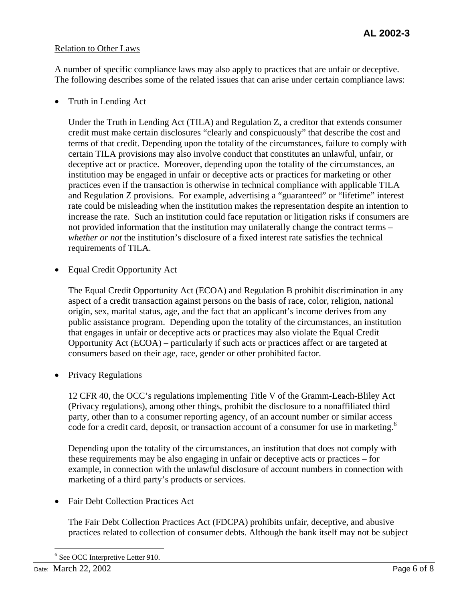#### Relation to Other Laws

A number of specific compliance laws may also apply to practices that are unfair or deceptive. The following describes some of the related issues that can arise under certain compliance laws:

• Truth in Lending Act

Under the Truth in Lending Act (TILA) and Regulation Z, a creditor that extends consumer credit must make certain disclosures "clearly and conspicuously" that describe the cost and terms of that credit. Depending upon the totality of the circumstances, failure to comply with certain TILA provisions may also involve conduct that constitutes an unlawful, unfair, or deceptive act or practice. Moreover, depending upon the totality of the circumstances, an institution may be engaged in unfair or deceptive acts or practices for marketing or other practices even if the transaction is otherwise in technical compliance with applicable TILA and Regulation Z provisions. For example, advertising a "guaranteed" or "lifetime" interest rate could be misleading when the institution makes the representation despite an intention to increase the rate. Such an institution could face reputation or litigation risks if consumers are not provided information that the institution may unilaterally change the contract terms – *whether or not* the institution's disclosure of a fixed interest rate satisfies the technical requirements of TILA.

• Equal Credit Opportunity Act

The Equal Credit Opportunity Act (ECOA) and Regulation B prohibit discrimination in any aspect of a credit transaction against persons on the basis of race, color, religion, national origin, sex, marital status, age, and the fact that an applicant's income derives from any public assistance program. Depending upon the totality of the circumstances, an institution that engages in unfair or deceptive acts or practices may also violate the Equal Credit Opportunity Act (ECOA) – particularly if such acts or practices affect or are targeted at consumers based on their age, race, gender or other prohibited factor.

• Privacy Regulations

12 CFR 40, the OCC's regulations implementing Title V of the Gramm-Leach-Bliley Act (Privacy regulations), among other things, prohibit the disclosure to a nonaffiliated third party, other than to a consumer reporting agency, of an account number or similar access code for a credit card, deposit, or transaction account of a consumer for use in marketing.<sup>6</sup>

Depending upon the totality of the circumstances, an institution that does not comply with these requirements may be also engaging in unfair or deceptive acts or practices – for example, in connection with the unlawful disclosure of account numbers in connection with marketing of a third party's products or services.

• Fair Debt Collection Practices Act

The Fair Debt Collection Practices Act (FDCPA) prohibits unfair, deceptive, and abusive practices related to collection of consumer debts. Although the bank itself may not be subject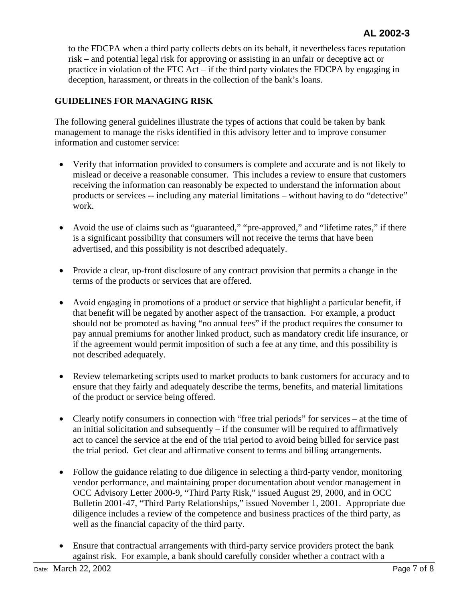to the FDCPA when a third party collects debts on its behalf, it nevertheless faces reputation risk – and potential legal risk for approving or assisting in an unfair or deceptive act or practice in violation of the FTC Act – if the third party violates the FDCPA by engaging in deception, harassment, or threats in the collection of the bank's loans.

## **GUIDELINES FOR MANAGING RISK**

The following general guidelines illustrate the types of actions that could be taken by bank management to manage the risks identified in this advisory letter and to improve consumer information and customer service:

- Verify that information provided to consumers is complete and accurate and is not likely to mislead or deceive a reasonable consumer. This includes a review to ensure that customers receiving the information can reasonably be expected to understand the information about products or services -- including any material limitations – without having to do "detective" work.
- Avoid the use of claims such as "guaranteed," "pre-approved," and "lifetime rates," if there is a significant possibility that consumers will not receive the terms that have been advertised, and this possibility is not described adequately.
- Provide a clear, up-front disclosure of any contract provision that permits a change in the terms of the products or services that are offered.
- Avoid engaging in promotions of a product or service that highlight a particular benefit, if that benefit will be negated by another aspect of the transaction. For example, a product should not be promoted as having "no annual fees" if the product requires the consumer to pay annual premiums for another linked product, such as mandatory credit life insurance, or if the agreement would permit imposition of such a fee at any time, and this possibility is not described adequately.
- Review telemarketing scripts used to market products to bank customers for accuracy and to ensure that they fairly and adequately describe the terms, benefits, and material limitations of the product or service being offered.
- Clearly notify consumers in connection with "free trial periods" for services at the time of an initial solicitation and subsequently  $-$  if the consumer will be required to affirmatively act to cancel the service at the end of the trial period to avoid being billed for service past the trial period. Get clear and affirmative consent to terms and billing arrangements.
- Follow the guidance relating to due diligence in selecting a third-party vendor, monitoring vendor performance, and maintaining proper documentation about vendor management in OCC Advisory Letter 2000-9, "Third Party Risk," issued August 29, 2000, and in OCC Bulletin 2001-47, "Third Party Relationships," issued November 1, 2001. Appropriate due diligence includes a review of the competence and business practices of the third party, as well as the financial capacity of the third party.
- Ensure that contractual arrangements with third-party service providers protect the bank against risk. For example, a bank should carefully consider whether a contract with a